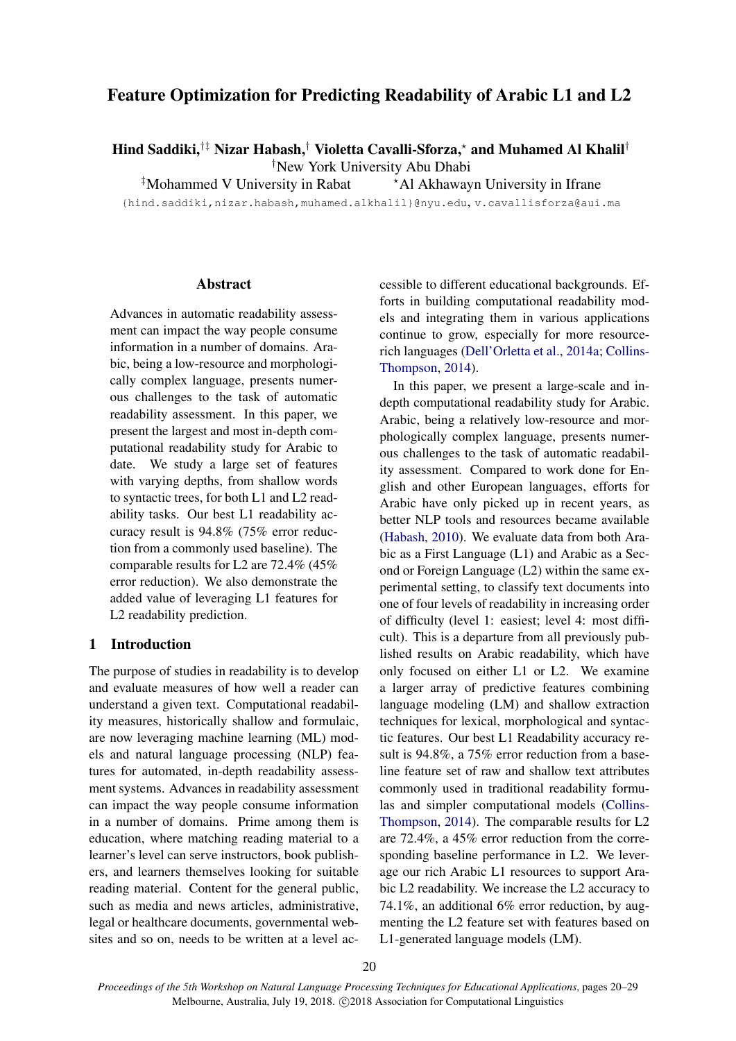# Feature Optimization for Predicting Readability of Arabic L1 and L2

Hind Saddiki,<sup>†‡</sup> Nizar Habash,<sup>†</sup> Violetta Cavalli-Sforza,\* and Muhamed Al Khalil<sup>†</sup>

†New York University Abu Dhabi

 $\frac{1}{4}$ Mohammed V University in Rabat  $\overrightarrow{A}$  Akhawayn University in Ifrane

{hind.saddiki,nizar.habash,muhamed.alkhalil}@nyu.edu, v.cavallisforza@aui.ma

# **Abstract**

Advances in automatic readability assessment can impact the way people consume information in a number of domains. Arabic, being a low-resource and morphologically complex language, presents numerous challenges to the task of automatic readability assessment. In this paper, we present the largest and most in-depth computational readability study for Arabic to date. We study a large set of features with varying depths, from shallow words to syntactic trees, for both L1 and L2 readability tasks. Our best L1 readability accuracy result is 94.8% (75% error reduction from a commonly used baseline). The comparable results for L2 are 72.4% (45% error reduction). We also demonstrate the added value of leveraging L1 features for L2 readability prediction.

#### 1 Introduction

The purpose of studies in readability is to develop and evaluate measures of how well a reader can understand a given text. Computational readability measures, historically shallow and formulaic, are now leveraging machine learning (ML) models and natural language processing (NLP) features for automated, in-depth readability assessment systems. Advances in readability assessment can impact the way people consume information in a number of domains. Prime among them is education, where matching reading material to a learner's level can serve instructors, book publishers, and learners themselves looking for suitable reading material. Content for the general public, such as media and news articles, administrative, legal or healthcare documents, governmental websites and so on, needs to be written at a level ac-

cessible to different educational backgrounds. Efforts in building computational readability models and integrating them in various applications continue to grow, especially for more resourcerich languages [\(Dell'Orletta et al.,](#page-8-0) [2014a;](#page-8-0) [Collins-](#page-8-1)[Thompson,](#page-8-1) [2014\)](#page-8-1).

In this paper, we present a large-scale and indepth computational readability study for Arabic. Arabic, being a relatively low-resource and morphologically complex language, presents numerous challenges to the task of automatic readability assessment. Compared to work done for English and other European languages, efforts for Arabic have only picked up in recent years, as better NLP tools and resources became available [\(Habash,](#page-9-0) [2010\)](#page-9-0). We evaluate data from both Arabic as a First Language (L1) and Arabic as a Second or Foreign Language (L2) within the same experimental setting, to classify text documents into one of four levels of readability in increasing order of difficulty (level 1: easiest; level 4: most difficult). This is a departure from all previously published results on Arabic readability, which have only focused on either L1 or L2. We examine a larger array of predictive features combining language modeling (LM) and shallow extraction techniques for lexical, morphological and syntactic features. Our best L1 Readability accuracy result is 94.8%, a 75% error reduction from a baseline feature set of raw and shallow text attributes commonly used in traditional readability formulas and simpler computational models [\(Collins-](#page-8-1)[Thompson,](#page-8-1) [2014\)](#page-8-1). The comparable results for L2 are 72.4%, a 45% error reduction from the corresponding baseline performance in L2. We leverage our rich Arabic L1 resources to support Arabic L2 readability. We increase the L2 accuracy to 74.1%, an additional 6% error reduction, by augmenting the L2 feature set with features based on L1-generated language models (LM).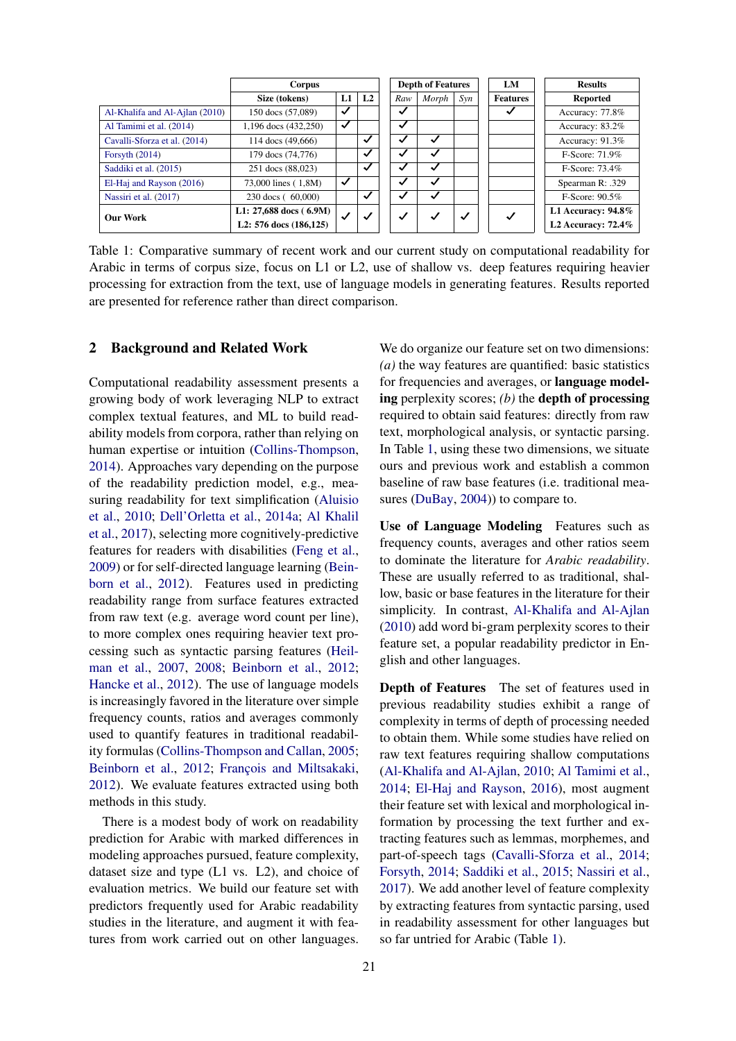|                                | Corpus                   |              |                |              | <b>Depth of Features</b> |     | LM              | <b>Results</b>     |
|--------------------------------|--------------------------|--------------|----------------|--------------|--------------------------|-----|-----------------|--------------------|
|                                | Size (tokens)            | L1           | L <sub>2</sub> | Raw          | Morph                    | Syn | <b>Features</b> | Reported           |
| Al-Khalifa and Al-Ajlan (2010) | 150 docs (57,089)        | $\checkmark$ |                | $\checkmark$ |                          |     |                 | Accuracy: 77.8%    |
| Al Tamimi et al. (2014)        | 1,196 docs (432,250)     | $\checkmark$ |                | ✓            |                          |     |                 | Accuracy: 83.2%    |
| Cavalli-Sforza et al. (2014)   | 114 docs (49,666)        |              | ✓              | √            | √                        |     |                 | Accuracy: 91.3%    |
| Forsyth $(2014)$               | 179 docs (74,776)        |              | $\checkmark$   | ✓            | $\checkmark$             |     |                 | F-Score: 71.9%     |
| Saddiki et al. (2015)          | 251 docs (88,023)        |              | $\checkmark$   |              | √                        |     |                 | F-Score: 73.4%     |
| El-Haj and Rayson (2016)       | 73,000 lines (1,8M)      | $\checkmark$ |                | ✓            | √                        |     |                 | Spearman R: .329   |
| Nassiri et al. (2017)          | 230 docs (60,000)        |              | $\checkmark$   | ✓            | √                        |     |                 | $F-Score: 90.5\%$  |
| <b>Our Work</b>                | L1: $27,688$ docs (6.9M) | $\checkmark$ | $\checkmark$   | $\checkmark$ | $\checkmark$             | ✓   | $\checkmark$    | L1 Accuracy: 94.8% |
|                                | L2: 576 docs (186,125)   |              |                |              |                          |     |                 | L2 Accuracy: 72.4% |

<span id="page-1-0"></span>Table 1: Comparative summary of recent work and our current study on computational readability for Arabic in terms of corpus size, focus on L1 or L2, use of shallow vs. deep features requiring heavier processing for extraction from the text, use of language models in generating features. Results reported are presented for reference rather than direct comparison.

# 2 Background and Related Work

Computational readability assessment presents a growing body of work leveraging NLP to extract complex textual features, and ML to build readability models from corpora, rather than relying on human expertise or intuition [\(Collins-Thompson,](#page-8-1) [2014\)](#page-8-1). Approaches vary depending on the purpose of the readability prediction model, e.g., measuring readability for text simplification [\(Aluisio](#page-8-7) [et al.,](#page-8-7) [2010;](#page-8-7) [Dell'Orletta et al.,](#page-8-0) [2014a;](#page-8-0) [Al Khalil](#page-8-8) [et al.,](#page-8-8) [2017\)](#page-8-8), selecting more cognitively-predictive features for readers with disabilities [\(Feng et al.,](#page-8-9) [2009\)](#page-8-9) or for self-directed language learning [\(Bein](#page-8-10)[born et al.,](#page-8-10) [2012\)](#page-8-10). Features used in predicting readability range from surface features extracted from raw text (e.g. average word count per line), to more complex ones requiring heavier text processing such as syntactic parsing features [\(Heil](#page-9-3)[man et al.,](#page-9-3) [2007,](#page-9-3) [2008;](#page-9-4) [Beinborn et al.,](#page-8-10) [2012;](#page-8-10) [Hancke et al.,](#page-9-5) [2012\)](#page-9-5). The use of language models is increasingly favored in the literature over simple frequency counts, ratios and averages commonly used to quantify features in traditional readability formulas [\(Collins-Thompson and Callan,](#page-8-11) [2005;](#page-8-11) [Beinborn et al.,](#page-8-10) [2012;](#page-8-10) [François and Miltsakaki,](#page-8-12) [2012\)](#page-8-12). We evaluate features extracted using both methods in this study.

There is a modest body of work on readability prediction for Arabic with marked differences in modeling approaches pursued, feature complexity, dataset size and type (L1 vs. L2), and choice of evaluation metrics. We build our feature set with predictors frequently used for Arabic readability studies in the literature, and augment it with features from work carried out on other languages.

We do organize our feature set on two dimensions: *(a)* the way features are quantified: basic statistics for frequencies and averages, or language modeling perplexity scores; *(b)* the depth of processing required to obtain said features: directly from raw text, morphological analysis, or syntactic parsing. In Table [1,](#page-1-0) using these two dimensions, we situate ours and previous work and establish a common baseline of raw base features (i.e. traditional mea-sures [\(DuBay,](#page-8-13) [2004\)](#page-8-13)) to compare to.

Use of Language Modeling Features such as frequency counts, averages and other ratios seem to dominate the literature for *Arabic readability*. These are usually referred to as traditional, shallow, basic or base features in the literature for their simplicity. In contrast, [Al-Khalifa and Al-Ajlan](#page-8-2) [\(2010\)](#page-8-2) add word bi-gram perplexity scores to their feature set, a popular readability predictor in English and other languages.

Depth of Features The set of features used in previous readability studies exhibit a range of complexity in terms of depth of processing needed to obtain them. While some studies have relied on raw text features requiring shallow computations [\(Al-Khalifa and Al-Ajlan,](#page-8-2) [2010;](#page-8-2) [Al Tamimi et al.,](#page-8-3) [2014;](#page-8-3) [El-Haj and Rayson,](#page-8-6) [2016\)](#page-8-6), most augment their feature set with lexical and morphological information by processing the text further and extracting features such as lemmas, morphemes, and part-of-speech tags [\(Cavalli-Sforza et al.,](#page-8-4) [2014;](#page-8-4) [Forsyth,](#page-8-5) [2014;](#page-8-5) [Saddiki et al.,](#page-9-1) [2015;](#page-9-1) [Nassiri et al.,](#page-9-2) [2017\)](#page-9-2). We add another level of feature complexity by extracting features from syntactic parsing, used in readability assessment for other languages but so far untried for Arabic (Table [1\)](#page-1-0).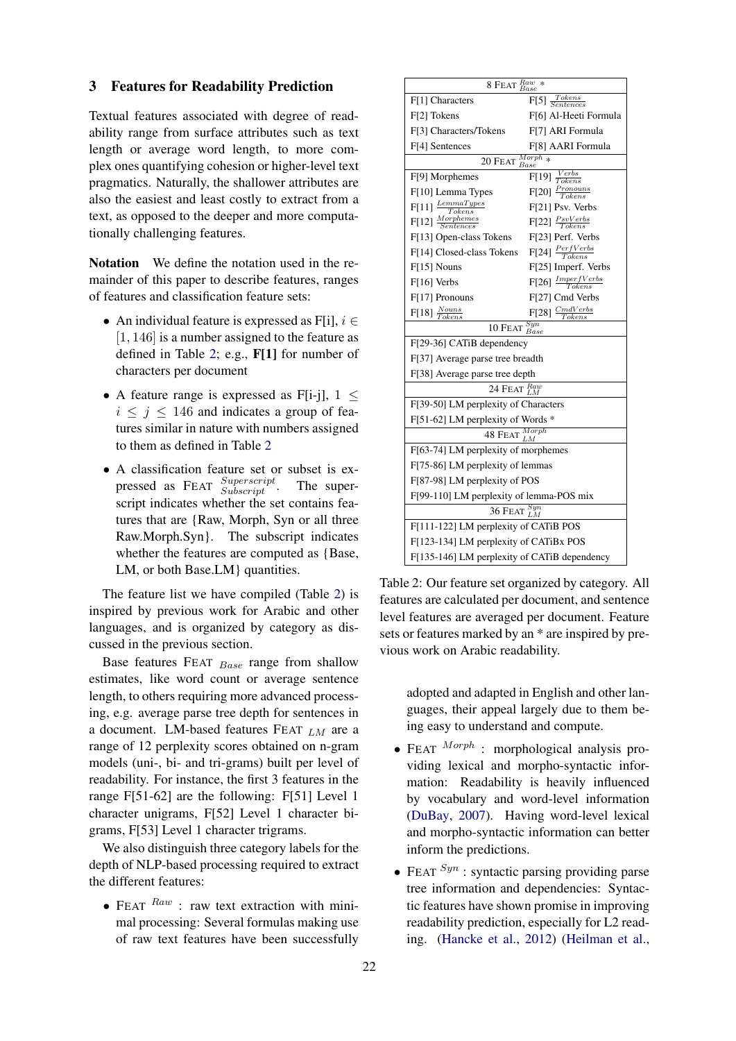#### 3 Features for Readability Prediction

Textual features associated with degree of readability range from surface attributes such as text length or average word length, to more complex ones quantifying cohesion or higher-level text pragmatics. Naturally, the shallower attributes are also the easiest and least costly to extract from a text, as opposed to the deeper and more computationally challenging features.

Notation We define the notation used in the remainder of this paper to describe features, ranges of features and classification feature sets:

- An individual feature is expressed as F[i],  $i \in$ [1, 146] is a number assigned to the feature as defined in Table [2;](#page-2-0) e.g., F[1] for number of characters per document
- A feature range is expressed as F[i-j],  $1 \leq$  $i \leq j \leq 146$  and indicates a group of features similar in nature with numbers assigned to them as defined in Table [2](#page-2-0)
- A classification feature set or subset is expressed as FEAT  $\frac{Superscript}{Subscript}$ . The superscript indicates whether the set contains features that are {Raw, Morph, Syn or all three Raw.Morph.Syn}. The subscript indicates whether the features are computed as {Base, LM, or both Base.LM} quantities.

The feature list we have compiled (Table [2\)](#page-2-0) is inspired by previous work for Arabic and other languages, and is organized by category as discussed in the previous section.

Base features FEAT Base range from shallow estimates, like word count or average sentence length, to others requiring more advanced processing, e.g. average parse tree depth for sentences in a document. LM-based features FEAT  $_{LM}$  are a range of 12 perplexity scores obtained on n-gram models (uni-, bi- and tri-grams) built per level of readability. For instance, the first 3 features in the range F[51-62] are the following: F[51] Level 1 character unigrams, F[52] Level 1 character bigrams, F[53] Level 1 character trigrams.

We also distinguish three category labels for the depth of NLP-based processing required to extract the different features:

• FEAT  $^{Raw}$  : raw text extraction with minimal processing: Several formulas making use of raw text features have been successfully

| $8$ FEAT $_{Base}^{Raw}$                            |                                         |  |  |  |
|-----------------------------------------------------|-----------------------------------------|--|--|--|
| F[1] Characters                                     | $\frac{Tokens}{Sentences}$<br>F[5]      |  |  |  |
| F[2] Tokens                                         | F[6] Al-Heeti Formula                   |  |  |  |
| F[3] Characters/Tokens                              | F[7] ARI Formula                        |  |  |  |
| F[4] Sentences                                      | F[8] AARI Formula                       |  |  |  |
| $\overline{M}$ orph <sub>*</sub><br>20 FEAT<br>Base |                                         |  |  |  |
| F[9] Morphemes                                      | $\overline{F[19]} \frac{Verbs}{Tokens}$ |  |  |  |
| F[10] Lemma Types                                   | $F[20]$ $\frac{Pronouns}{Tokens}$       |  |  |  |
| $\mathbb{F}[11]$ $\frac{Lemma Types}{Tokens}$       | F[21] Psv. Verbs                        |  |  |  |
| $F[12]$ $\frac{Morephemes}{Sentences}$              | $F[22]$ $\frac{PsvVerbs}{Tokens}$       |  |  |  |
| F[13] Open-class Tokens                             | F[23] Perf. Verbs                       |  |  |  |
| F[14] Closed-class Tokens                           | $F[24]$ $\frac{PerfVerbs}{Tokens}$      |  |  |  |
| $F[15]$ Nouns                                       | F[25] Imperf. Verbs                     |  |  |  |
| F[16] Verbs                                         | $F[26]$ $\frac{ImperfVerbs}{Tokens}$    |  |  |  |
| F[17] Pronouns                                      | F[27] Cmd Verbs                         |  |  |  |
| $F[18]$ $\frac{Nouns}{Tokens}$                      | $F[28]$ $\frac{CmdVerbs}{T}$<br>Tokens  |  |  |  |
| 10 FEAT $_{Base}^{Syn}$                             |                                         |  |  |  |
| F[29-36] CATiB dependency                           |                                         |  |  |  |
| F[37] Average parse tree breadth                    |                                         |  |  |  |
| F[38] Average parse tree depth                      |                                         |  |  |  |
| 24 FEAT $_{LM}^{Raw}$                               |                                         |  |  |  |
| F[39-50] LM perplexity of Characters                |                                         |  |  |  |
| $F[51-62]$ LM perplexity of Words $*$               |                                         |  |  |  |
| 48 FEAT $\frac{Morph}{I}$                           |                                         |  |  |  |
| F[63-74] LM perplexity of morphemes                 |                                         |  |  |  |
| F[75-86] LM perplexity of lemmas                    |                                         |  |  |  |
| F[87-98] LM perplexity of POS                       |                                         |  |  |  |
| F[99-110] LM perplexity of lemma-POS mix            |                                         |  |  |  |
| 36 Feat $\frac{Syn}{LM}$                            |                                         |  |  |  |
| F[111-122] LM perplexity of CATiB POS               |                                         |  |  |  |
| F[123-134] LM perplexity of CATiBx POS              |                                         |  |  |  |
| F[135-146] LM perplexity of CATiB dependency        |                                         |  |  |  |

<span id="page-2-0"></span>Table 2: Our feature set organized by category. All features are calculated per document, and sentence level features are averaged per document. Feature sets or features marked by an \* are inspired by previous work on Arabic readability.

> adopted and adapted in English and other languages, their appeal largely due to them being easy to understand and compute.

- FEAT  $^{Morph}$  : morphological analysis providing lexical and morpho-syntactic information: Readability is heavily influenced by vocabulary and word-level information [\(DuBay,](#page-8-14) [2007\)](#page-8-14). Having word-level lexical and morpho-syntactic information can better inform the predictions.
- FEAT  $^{Syn}$  : syntactic parsing providing parse tree information and dependencies: Syntactic features have shown promise in improving readability prediction, especially for L2 reading. [\(Hancke et al.,](#page-9-5) [2012\)](#page-9-5) [\(Heilman et al.,](#page-9-3)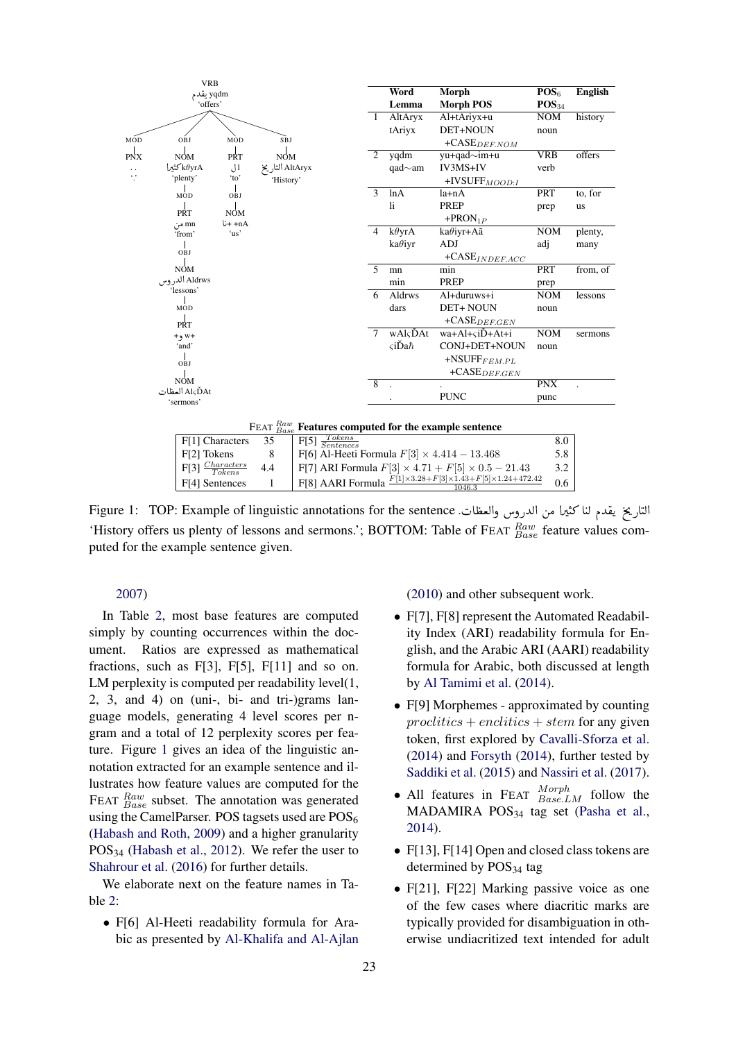

<span id="page-3-0"></span>F[3]  $\frac{Charactors}{Tokens}$  4.4 F[7] ARI Formula  $F[3] \times 4.71 + F[5] \times 0.5 - 21.43$  3.2<br>F[4] Sentences 1 F[8] AARI Formula  $\frac{F[1]\times 3.28 + F[3]\times 1.43 + F[5]\times 1.24 + 472.42}{1046.3}$  0.6 F[4] Sentences 1 F[8] AARI Formula  $\frac{F[1]\times 3.28 + F[3]\times 1.43 + F[5]\times 1.24 + 472.42}{1046.3}$ 0.6 .<br>التاريخ يقدم لنا كثيرا من الدروس والعظات. Figure 1: TOP: Example of linguistic annotations for the sentence ņ  $\overline{a}$ Į ֦֧֦֧֦֧֦֧֦֧֦֧֦֧֦֧֧֦֧֦֧֦֧֜֜֓֜֜֜֜֜֜ 'History offers us plenty of lessons and sermons.'; BOTTOM: Table of FEAT  $_{Base}^{Raw}$  feature values com-

#### [2007\)](#page-9-3)

puted for the example sentence given.

In Table [2,](#page-2-0) most base features are computed simply by counting occurrences within the document. Ratios are expressed as mathematical fractions, such as F[3], F[5], F[11] and so on. LM perplexity is computed per readability level(1, 2, 3, and 4) on (uni-, bi- and tri-)grams language models, generating 4 level scores per ngram and a total of 12 perplexity scores per feature. Figure [1](#page-3-0) gives an idea of the linguistic annotation extracted for an example sentence and illustrates how feature values are computed for the FEAT  $_{Base}^{Raw}$  subset. The annotation was generated using the CamelParser. POS tagsets used are POS<sub>6</sub> [\(Habash and Roth,](#page-9-6) [2009\)](#page-9-6) and a higher granularity  $POS<sub>34</sub>$  [\(Habash et al.,](#page-8-15) [2012\)](#page-8-15). We refer the user to [Shahrour et al.](#page-9-7) [\(2016\)](#page-9-7) for further details.

We elaborate next on the feature names in Table [2:](#page-2-0)

• F[6] Al-Heeti readability formula for Arabic as presented by [Al-Khalifa and Al-Ajlan](#page-8-2) [\(2010\)](#page-8-2) and other subsequent work.

- F[7], F[8] represent the Automated Readability Index (ARI) readability formula for English, and the Arabic ARI (AARI) readability formula for Arabic, both discussed at length by [Al Tamimi et al.](#page-8-3) [\(2014\)](#page-8-3).
- F[9] Morphemes approximated by counting  $proclitics + enclitics + stem$  for any given token, first explored by [Cavalli-Sforza et al.](#page-8-4) [\(2014\)](#page-8-4) and [Forsyth](#page-8-5) [\(2014\)](#page-8-5), further tested by [Saddiki et al.](#page-9-1) [\(2015\)](#page-9-1) and [Nassiri et al.](#page-9-2) [\(2017\)](#page-9-2).
- All features in FEAT  $^{Morph}_{Base,LM}$  follow the MADAMIRA POS<sup>34</sup> tag set [\(Pasha et al.,](#page-9-8) [2014\)](#page-9-8).
- F[13], F[14] Open and closed class tokens are determined by  $POS_{34}$  tag
- F[21], F[22] Marking passive voice as one of the few cases where diacritic marks are typically provided for disambiguation in otherwise undiacritized text intended for adult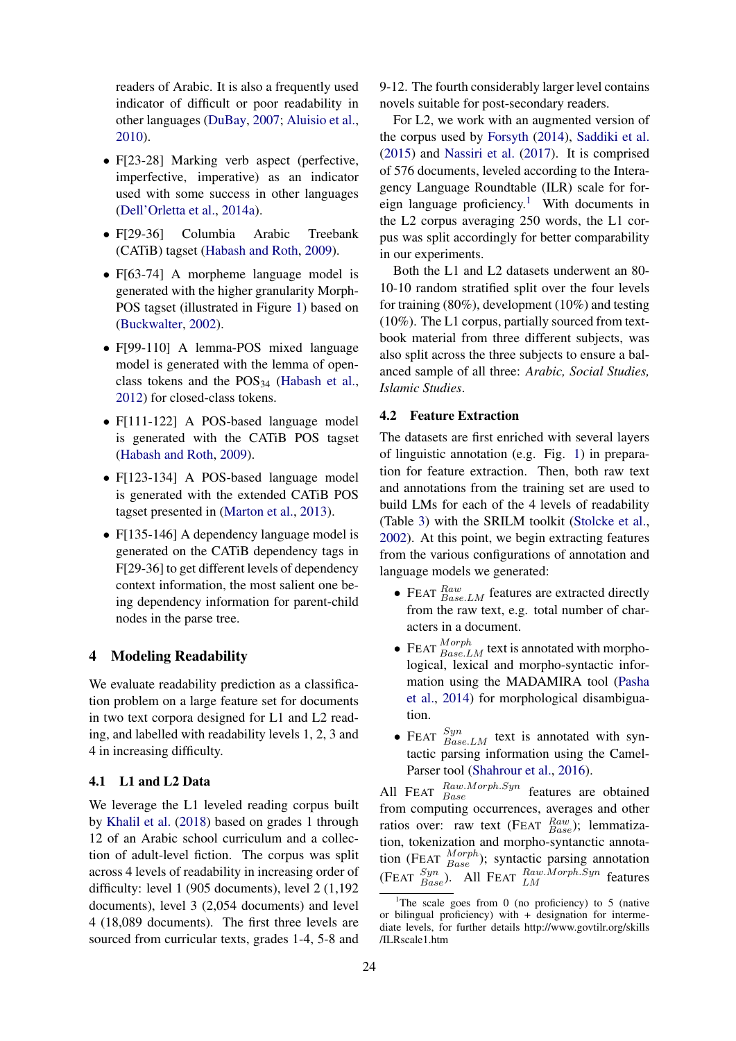readers of Arabic. It is also a frequently used indicator of difficult or poor readability in other languages [\(DuBay,](#page-8-14) [2007;](#page-8-14) [Aluisio et al.,](#page-8-7) [2010\)](#page-8-7).

- F[23-28] Marking verb aspect (perfective, imperfective, imperative) as an indicator used with some success in other languages [\(Dell'Orletta et al.,](#page-8-0) [2014a\)](#page-8-0).
- F[29-36] Columbia Arabic Treebank (CATiB) tagset [\(Habash and Roth,](#page-9-6) [2009\)](#page-9-6).
- F[63-74] A morpheme language model is generated with the higher granularity Morph-POS tagset (illustrated in Figure [1\)](#page-3-0) based on [\(Buckwalter,](#page-8-16) [2002\)](#page-8-16).
- F[99-110] A lemma-POS mixed language model is generated with the lemma of openclass tokens and the  $POS_{34}$  [\(Habash et al.,](#page-8-15) [2012\)](#page-8-15) for closed-class tokens.
- F[111-122] A POS-based language model is generated with the CATiB POS tagset [\(Habash and Roth,](#page-9-6) [2009\)](#page-9-6).
- F[123-134] A POS-based language model is generated with the extended CATiB POS tagset presented in [\(Marton et al.,](#page-9-9) [2013\)](#page-9-9).
- F[135-146] A dependency language model is generated on the CATiB dependency tags in F[29-36] to get different levels of dependency context information, the most salient one being dependency information for parent-child nodes in the parse tree.

# 4 Modeling Readability

We evaluate readability prediction as a classification problem on a large feature set for documents in two text corpora designed for L1 and L2 reading, and labelled with readability levels 1, 2, 3 and 4 in increasing difficulty.

## 4.1 L1 and L2 Data

We leverage the L1 leveled reading corpus built by [Khalil et al.](#page-9-10) [\(2018\)](#page-9-10) based on grades 1 through 12 of an Arabic school curriculum and a collection of adult-level fiction. The corpus was split across 4 levels of readability in increasing order of difficulty: level 1 (905 documents), level 2 (1,192 documents), level 3 (2,054 documents) and level 4 (18,089 documents). The first three levels are sourced from curricular texts, grades 1-4, 5-8 and

9-12. The fourth considerably larger level contains novels suitable for post-secondary readers.

For L2, we work with an augmented version of the corpus used by [Forsyth](#page-8-5) [\(2014\)](#page-8-5), [Saddiki et al.](#page-9-1) [\(2015\)](#page-9-1) and [Nassiri et al.](#page-9-2) [\(2017\)](#page-9-2). It is comprised of 576 documents, leveled according to the Interagency Language Roundtable (ILR) scale for for-eign language proficiency.<sup>[1](#page-4-0)</sup> With documents in the L2 corpus averaging 250 words, the L1 corpus was split accordingly for better comparability in our experiments.

Both the L1 and L2 datasets underwent an 80- 10-10 random stratified split over the four levels for training (80%), development (10%) and testing (10%). The L1 corpus, partially sourced from textbook material from three different subjects, was also split across the three subjects to ensure a balanced sample of all three: *Arabic, Social Studies, Islamic Studies*.

#### 4.2 Feature Extraction

The datasets are first enriched with several layers of linguistic annotation (e.g. Fig. [1\)](#page-3-0) in preparation for feature extraction. Then, both raw text and annotations from the training set are used to build LMs for each of the 4 levels of readability (Table [3\)](#page-5-0) with the SRILM toolkit [\(Stolcke et al.,](#page-9-11) [2002\)](#page-9-11). At this point, we begin extracting features from the various configurations of annotation and language models we generated:

- FEAT  $_{Base,LM}^{Raw}$  features are extracted directly from the raw text, e.g. total number of characters in a document.
- FEAT  $^{Morph}_{Base,LM}$  text is annotated with morphological, lexical and morpho-syntactic information using the MADAMIRA tool [\(Pasha](#page-9-8) [et al.,](#page-9-8) [2014\)](#page-9-8) for morphological disambiguation.
- FEAT  $\frac{Syn}{BaseLM}$  text is annotated with syntactic parsing information using the Camel-Parser tool [\(Shahrour et al.,](#page-9-7) [2016\)](#page-9-7).

All FEAT  $_{Base}^{Raw.Morph. Syn}$  features are obtained from computing occurrences, averages and other ratios over: raw text (FEAT  $_{Base}^{Raw}$ ); lemmatization, tokenization and morpho-syntanctic annotation (FEAT  $^{Morph}_{Base}$ ); syntactic parsing annotation (FEAT  $\frac{Syn}{Base}$ ). All FEAT  $\frac{Raw.Morph. Syn}{LM}$  features

<span id="page-4-0"></span><sup>&</sup>lt;sup>1</sup>The scale goes from 0 (no proficiency) to 5 (native or bilingual proficiency) with + designation for intermediate levels, for further details http://www.govtilr.org/skills /ILRscale1.htm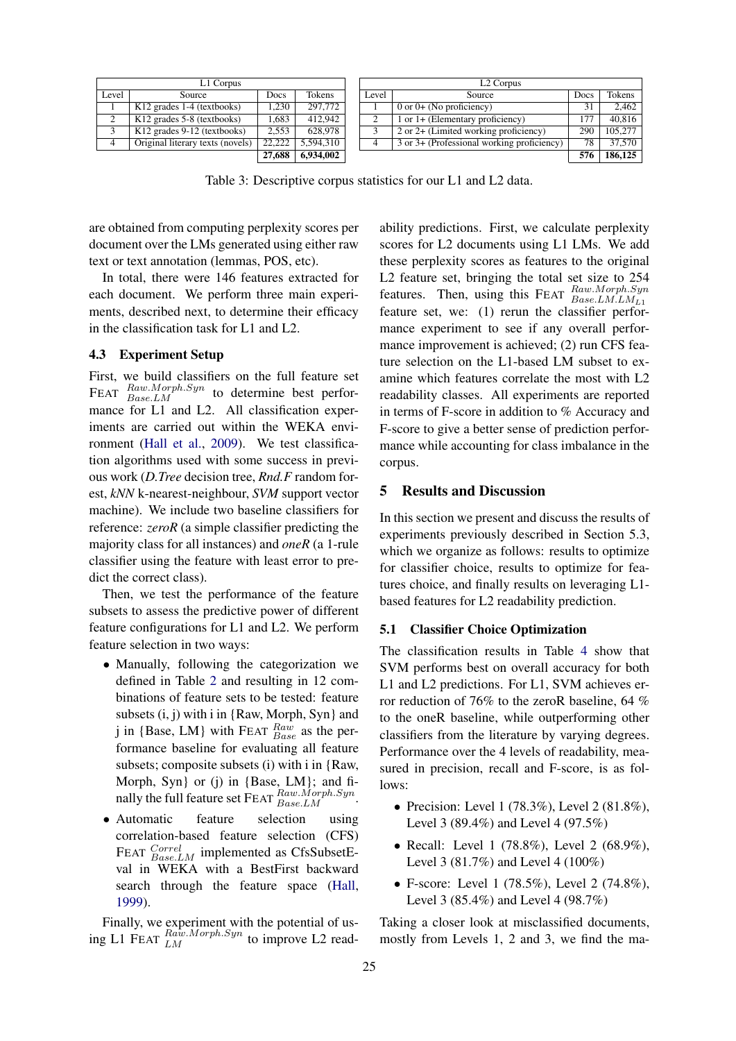| L1 Corpus |                                         |        | L <sub>2</sub> Corpus |       |                                                    |      |         |
|-----------|-----------------------------------------|--------|-----------------------|-------|----------------------------------------------------|------|---------|
| Level     | Source                                  | Docs   | Tokens                | Level | Source                                             | Docs | Tokens  |
|           | $K12$ grades 1-4 (textbooks)            | 1.230  | 297,772               |       | $0$ or $0+$ (No proficiency)                       |      | 2.462   |
| $\sim$    | K <sub>12</sub> grades 5-8 (textbooks)  | 1.683  | 412,942               |       | $1$ or $1+$ (Elementary proficiency)               |      | 40.816  |
|           | K <sub>12</sub> grades 9-12 (textbooks) | 2.553  | 628,978               |       | $\overline{2}$ or 2+ (Limited working proficiency) | 290  | 105,277 |
| 4         | Original literary texts (novels)        | 22,222 | 5.594.310             |       | 3 or 3+ (Professional working proficiency)         | 78   | 37,570  |
|           |                                         | 27,688 | 6,934,002             |       |                                                    | 576  | 186,125 |

<span id="page-5-0"></span>Table 3: Descriptive corpus statistics for our L1 and L2 data.

are obtained from computing perplexity scores per document over the LMs generated using either raw text or text annotation (lemmas, POS, etc).

In total, there were 146 features extracted for each document. We perform three main experiments, described next, to determine their efficacy in the classification task for L1 and L2.

#### 4.3 Experiment Setup

First, we build classifiers on the full feature set FEAT  $\frac{Raw.Morph. Syn}{Base.LM}$  to determine best performance for L1 and L2. All classification experiments are carried out within the WEKA environment [\(Hall et al.,](#page-9-12) [2009\)](#page-9-12). We test classification algorithms used with some success in previous work (*D.Tree* decision tree, *Rnd.F* random forest, *kNN* k-nearest-neighbour, *SVM* support vector machine). We include two baseline classifiers for reference: *zeroR* (a simple classifier predicting the majority class for all instances) and *oneR* (a 1-rule classifier using the feature with least error to predict the correct class).

Then, we test the performance of the feature subsets to assess the predictive power of different feature configurations for L1 and L2. We perform feature selection in two ways:

- Manually, following the categorization we defined in Table [2](#page-2-0) and resulting in 12 combinations of feature sets to be tested: feature subsets (i, j) with i in {Raw, Morph, Syn} and j in {Base, LM} with FEAT  $_{Base}^{Raw}$  as the performance baseline for evaluating all feature subsets; composite subsets (i) with i in {Raw, Morph, Syn} or (j) in {Base, LM}; and finally the full feature set  $\text{FEAT}$   $\frac{Raw.Morph. Sym}{Base.LM}$ .
- Automatic feature selection using correlation-based feature selection (CFS) FEAT  $^{Correl}_{Base.LM}$  implemented as CfsSubsetEval in WEKA with a BestFirst backward search through the feature space [\(Hall,](#page-9-13) [1999\)](#page-9-13).

Finally, we experiment with the potential of using L1 FEAT  $_{LM}^{Ra\tilde{w}.Morph. Syn}$  to improve L2 read-

ability predictions. First, we calculate perplexity scores for L2 documents using L1 LMs. We add these perplexity scores as features to the original L2 feature set, bringing the total set size to 254 features. Then, using this FEAT  $^{Raw.Morph. Sym}_{Base. LMLLML1}$ feature set, we: (1) rerun the classifier performance experiment to see if any overall performance improvement is achieved; (2) run CFS feature selection on the L1-based LM subset to examine which features correlate the most with L2 readability classes. All experiments are reported in terms of F-score in addition to % Accuracy and F-score to give a better sense of prediction performance while accounting for class imbalance in the corpus.

#### 5 Results and Discussion

In this section we present and discuss the results of experiments previously described in Section 5.3, which we organize as follows: results to optimize for classifier choice, results to optimize for features choice, and finally results on leveraging L1 based features for L2 readability prediction.

## 5.1 Classifier Choice Optimization

The classification results in Table [4](#page-6-0) show that SVM performs best on overall accuracy for both L1 and L2 predictions. For L1, SVM achieves error reduction of 76% to the zeroR baseline, 64 % to the oneR baseline, while outperforming other classifiers from the literature by varying degrees. Performance over the 4 levels of readability, measured in precision, recall and F-score, is as follows:

- Precision: Level 1  $(78.3\%)$ , Level 2  $(81.8\%)$ , Level 3 (89.4%) and Level 4 (97.5%)
- Recall: Level 1 (78.8%), Level 2 (68.9%), Level 3 (81.7%) and Level 4 (100%)
- F-score: Level 1 (78.5%), Level 2 (74.8%), Level 3 (85.4%) and Level 4 (98.7%)

Taking a closer look at misclassified documents, mostly from Levels 1, 2 and 3, we find the ma-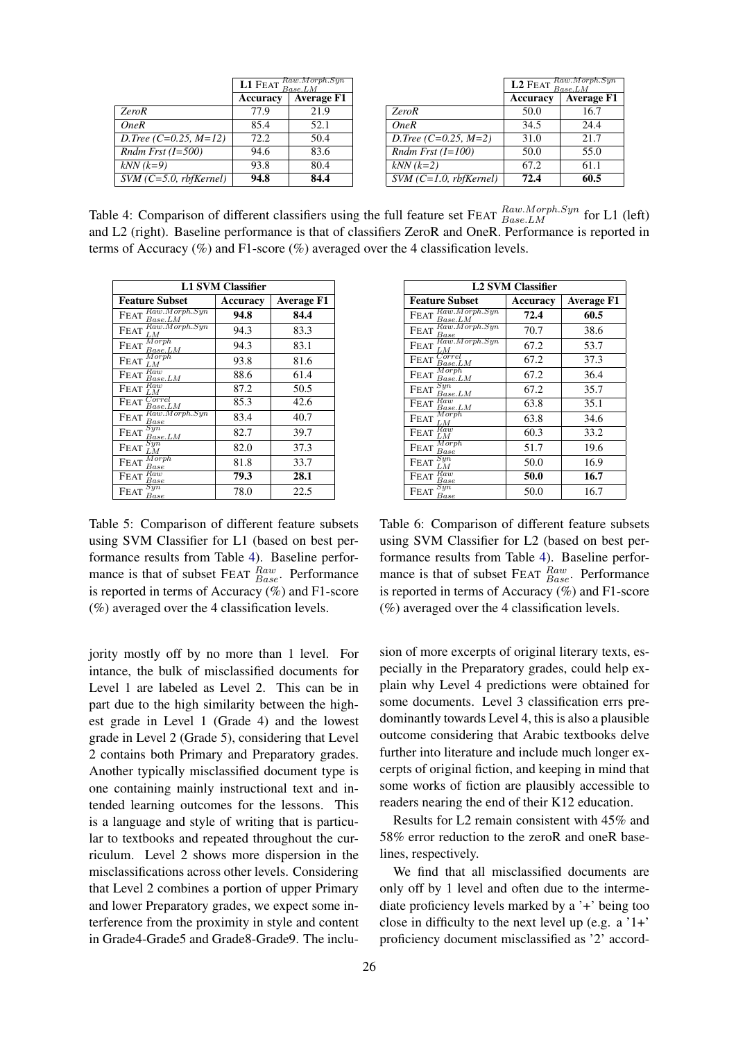|                          |          | <b>L1</b> FEAT $\frac{Raw.Morph. Sym}{Base.LM}$ |                          | L <sub>2</sub> FEAT | Raw.Morph.<br>Base.LM |
|--------------------------|----------|-------------------------------------------------|--------------------------|---------------------|-----------------------|
|                          | Accuracy | <b>Average F1</b>                               |                          | Accuracy            | Average               |
| <b>ZeroR</b>             | 77.9     | 21.9                                            | <b>ZeroR</b>             | 50.0                | 16.7                  |
| OneR                     | 85.4     | 52.1                                            | OneR                     | 34.5                | 24.4                  |
| D.Tree (C=0.25, M=12)    | 72.2     | 50.4                                            | D.Tree $(C=0.25, M=2)$   | 31.0                | 21.7                  |
| Rndm Frst $(I=500)$      | 94.6     | 83.6                                            | Rndm Frst $(I=100)$      | 50.0                | 55.0                  |
| $kNN (k=9)$              | 93.8     | 80.4                                            | $kNN (k=2)$              | 67.2                | 61.1                  |
| $SVM$ (C=5.0, rbfKernel) | 94.8     | 84.4                                            | $SVM$ (C=1.0, rbfKernel) | 72.4                | 60.5                  |

| Raw.Morph.Syn<br>Base.LM<br>L1 FEAT |                   |              |                          | <b>L2</b> FEAT $_{Base.LM}^{Raw.Morph. Sym}$ |                   |  |
|-------------------------------------|-------------------|--------------|--------------------------|----------------------------------------------|-------------------|--|
| Accuracy                            | <b>Average F1</b> |              |                          | Accuracy                                     | <b>Average F1</b> |  |
| 77.9                                | 21.9              | <b>ZeroR</b> |                          | 50.0                                         | 16.7              |  |
| 85.4                                | 52.1              | OneR         |                          | 34.5                                         | 24.4              |  |
| 72.2                                | 50.4              |              | D.Tree $(C=0.25, M=2)$   | 31.0                                         | 21.7              |  |
| 94.6                                | 83.6              |              | Rndm Frst $(I=100)$      | 50.0                                         | 55.0              |  |
| 93.8                                | 80.4              | $kNN (k=2)$  |                          | 67.2                                         | 61.1              |  |
| 94.8                                | 84.4              |              | $SVM$ (C=1.0, rbfKernel) | 72.4                                         | 60.5              |  |
|                                     |                   |              |                          |                                              |                   |  |

<span id="page-6-0"></span>Table 4: Comparison of different classifiers using the full feature set FEAT  $_{Base, LM}^{Raw, Morph. Syn}$  for L1 (left) and L2 (right). Baseline performance is that of classifiers ZeroR and OneR. Performance is reported in terms of Accuracy  $(\%)$  and F1-score  $(\%)$  averaged over the 4 classification levels.

| <b>L1 SVM Classifier</b>                       |          |                   |  |  |  |
|------------------------------------------------|----------|-------------------|--|--|--|
| <b>Feature Subset</b>                          | Accuracy | <b>Average F1</b> |  |  |  |
| FEAT Raw.Morph.Syn                             | 94.8     | 84.4              |  |  |  |
| $FEAT$ $\overrightarrow{Raw.Morph. Sym}$<br>LМ | 94.3     | 83.3              |  |  |  |
| $\text{FEAT}\ \frac{Morph}{P}$<br>Base.LM      | 94.3     | 83.1              |  |  |  |
| M orph<br><b>FEAT</b><br>LМ                    | 93.8     | 81.6              |  |  |  |
| $F\overline{\text{EAT}}$ $Raw$<br>Base.LM      | 88.6     | 61.4              |  |  |  |
| FEAT $Raw$                                     | 87.2     | 50.5              |  |  |  |
| Correl<br><b>FEAT</b><br>$_{Base.LM}$          | 85.3     | 42.6              |  |  |  |
| Raw.Morph. Syn<br><b>FEAT</b><br>Base          | 83.4     | 40.7              |  |  |  |
| Syn<br><b>FEAT</b><br>$_{Base.LM}$             | 82.7     | 39.7              |  |  |  |
| $_{Syn}$<br><b>FEAT</b><br>LM                  | 82.0     | 37.3              |  |  |  |
| Morph<br><b>FEAT</b><br>Base                   | 81.8     | 33.7              |  |  |  |
| FEAT Raw<br>$_{Base}$                          | 79.3     | 28.1              |  |  |  |
| Syn<br>Feat<br>Base                            | 78.0     | 22.5              |  |  |  |

<span id="page-6-1"></span>Table 5: Comparison of different feature subsets using SVM Classifier for L1 (based on best performance results from Table [4\)](#page-6-0). Baseline performance is that of subset FEAT  $_{Base}^{Raw}$ . Performance is reported in terms of Accuracy  $(\%)$  and F1-score (%) averaged over the 4 classification levels.

jority mostly off by no more than 1 level. For intance, the bulk of misclassified documents for Level 1 are labeled as Level 2. This can be in part due to the high similarity between the highest grade in Level 1 (Grade 4) and the lowest grade in Level 2 (Grade 5), considering that Level 2 contains both Primary and Preparatory grades. Another typically misclassified document type is one containing mainly instructional text and intended learning outcomes for the lessons. This is a language and style of writing that is particular to textbooks and repeated throughout the curriculum. Level 2 shows more dispersion in the misclassifications across other levels. Considering that Level 2 combines a portion of upper Primary and lower Preparatory grades, we expect some interference from the proximity in style and content in Grade4-Grade5 and Grade8-Grade9. The inclu-

| <b>L2 SVM Classifier</b>                                 |          |                   |  |  |  |
|----------------------------------------------------------|----------|-------------------|--|--|--|
| <b>Feature Subset</b>                                    | Accuracy | <b>Average F1</b> |  |  |  |
| Raw.Morph.Syn<br><b>FEAT</b><br>Base.LM<br>Raw.Morph.Syn | 72.4     | 60.5              |  |  |  |
| <b>FEAT</b><br>$_{Base}$                                 | 70.7     | 38.6              |  |  |  |
| Raw.Morph. Syn<br><b>FEAT</b><br>LM.                     | 67.2     | 53.7              |  |  |  |
| Correl<br><b>FEAT</b><br>$_{Base.LM}$                    | 67.2     | 37.3              |  |  |  |
| $M$ <sub>orph</sub><br><b>FEAT</b><br>$_{Base.LM}$       | 67.2     | 36.4              |  |  |  |
| $_{Syn}$<br><b>FEAT</b><br>Base.LM                       | 67.2     | 35.7              |  |  |  |
| FEAT Raw<br>Base.LM                                      | 63.8     | 35.1              |  |  |  |
| ${M}{\it or ph}$<br><b>FEAT</b><br>LМ                    | 63.8     | 34.6              |  |  |  |
| Raw<br><b>FEAT</b><br>LМ                                 | 60.3     | 33.2              |  |  |  |
| Morph<br><b>FEAT</b><br>$_{Base}$                        | 51.7     | 19.6              |  |  |  |
| $_{Syn}$<br><b>FEAT</b><br>LМ                            | 50.0     | 16.9              |  |  |  |
| Raw<br><b>FEAT</b><br>$_{Base}$                          | 50.0     | 16.7              |  |  |  |
| $\it Sun$<br><b>FEAT</b><br>$_{Base}$                    | 50.0     | 16.7              |  |  |  |

<span id="page-6-2"></span>Table 6: Comparison of different feature subsets using SVM Classifier for L2 (based on best performance results from Table [4\)](#page-6-0). Baseline performance is that of subset FEAT  $_{Base}^{Raw}$ . Performance is reported in terms of Accuracy (%) and F1-score (%) averaged over the 4 classification levels.

sion of more excerpts of original literary texts, especially in the Preparatory grades, could help explain why Level 4 predictions were obtained for some documents. Level 3 classification errs predominantly towards Level 4, this is also a plausible outcome considering that Arabic textbooks delve further into literature and include much longer excerpts of original fiction, and keeping in mind that some works of fiction are plausibly accessible to readers nearing the end of their K12 education.

Results for L2 remain consistent with 45% and 58% error reduction to the zeroR and oneR baselines, respectively.

We find that all misclassified documents are only off by 1 level and often due to the intermediate proficiency levels marked by a '+' being too close in difficulty to the next level up (e.g.  $a'1+$ ' proficiency document misclassified as '2' accord-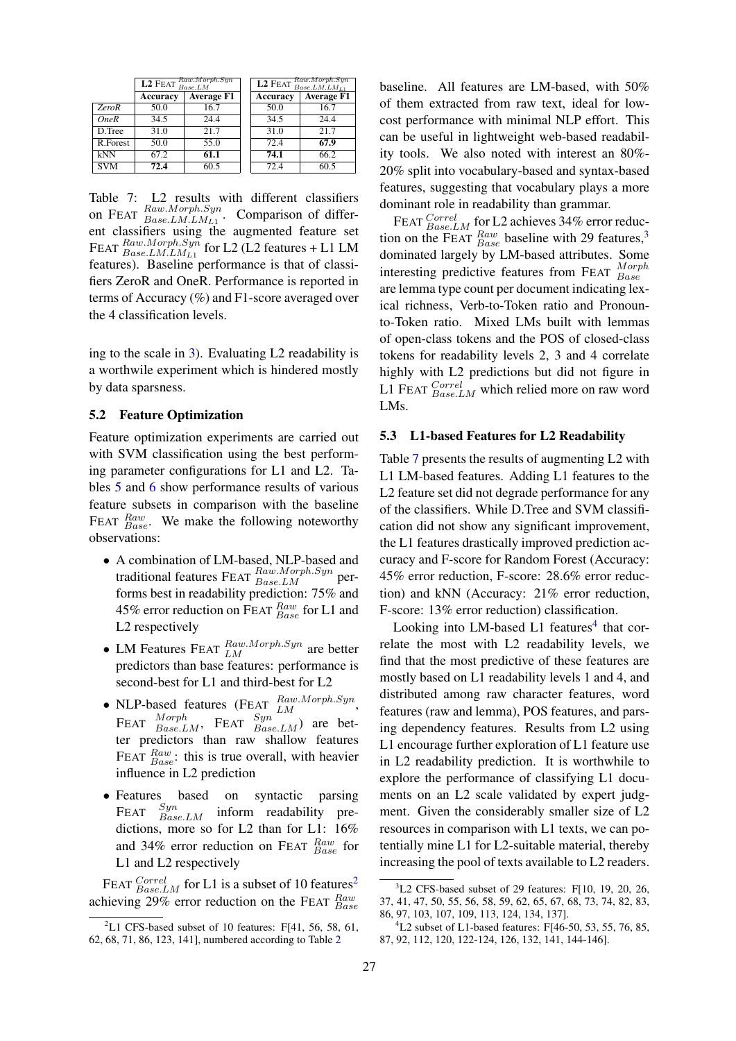|              | $L2$ FEAT $_{Base.LM}^{Raw.Morph. Sym}$ |                   |  |          | <b>L2</b> FEAT $_{Base.LM.LM_{L1}}^{Raw.Morph. Syn}$ |
|--------------|-----------------------------------------|-------------------|--|----------|------------------------------------------------------|
|              | <b>Accuracy</b>                         | <b>Average F1</b> |  | Accuracy | <b>Average F1</b>                                    |
| <b>ZeroR</b> | 50.0                                    | 16.7              |  | 50.0     | 16.7                                                 |
| <b>OneR</b>  | 34.5                                    | 24.4              |  | 34.5     | 24.4                                                 |
| D.Tree       | 31.0                                    | 21.7              |  | 31.0     | 21.7                                                 |
| R.Forest     | 50.0                                    | 55.0              |  | 72.4     | 67.9                                                 |
| kNN          | 67.2                                    | 61.1              |  | 74.1     | 66.2                                                 |
| <b>SVM</b>   | 72.4                                    | 60.5              |  | 72.4     | 60.5                                                 |

<span id="page-7-2"></span>Table 7: L2 results with different classifiers on FEAT  $\frac{Raw.Morph. Sym}{Base.LM.LM_{L1}}$ . Comparison of different classifiers using the augmented feature set FEAT  $_{Base. LMLML_1}^{Raw.Morph. Syn}$  for L2 (L2 features + L1 LM features). Baseline performance is that of classifiers ZeroR and OneR. Performance is reported in terms of Accuracy (%) and F1-score averaged over the 4 classification levels.

ing to the scale in [3\)](#page-5-0). Evaluating L2 readability is a worthwile experiment which is hindered mostly by data sparsness.

#### 5.2 Feature Optimization

Feature optimization experiments are carried out with SVM classification using the best performing parameter configurations for L1 and L2. Tables [5](#page-6-1) and [6](#page-6-2) show performance results of various feature subsets in comparison with the baseline FEAT  $_{Base}^{Raw}$ . We make the following noteworthy observations:

- A combination of LM-based, NLP-based and traditional features FEAT  $_{Base,LM}^{Raw, Morph. Syn}$  performs best in readability prediction: 75% and 45% error reduction on FEAT  $_{Base}^{Raw}$  for L1 and L2 respectively
- LM Features FEAT  $_{LM}^{Raw, Morph. Syn}$  are better predictors than base features: performance is second-best for L1 and third-best for L2
- NLP-based features (FEAT  $_{LM}^{Raw.Morph. Syn}$ , FEAT  $^{Morph}_{Base, LM}$ , FEAT  $^{Syn}_{Base, LM}$  are better predictors than raw shallow features FEAT  $_{Base}^{Raw}$ : this is true overall, with heavier influence in L2 prediction
- Features based on syntactic parsing  $F_{\text{EFT}}$   $Syn$  $\text{FEAT}$   $\frac{syn}{Base.LM}$ inform readability predictions, more so for L2 than for L1: 16% and 34% error reduction on FEAT  $_{Base}^{Raw}$  for L1 and L2 respectively

FEAT  $^{Correl}_{Base.LM}$  for L1 is a subset of 10 features<sup>[2](#page-7-0)</sup> achieving 29% error reduction on the FEAT  $_{Base}^{Raw}$  baseline. All features are LM-based, with 50% of them extracted from raw text, ideal for lowcost performance with minimal NLP effort. This can be useful in lightweight web-based readability tools. We also noted with interest an 80%- 20% split into vocabulary-based and syntax-based features, suggesting that vocabulary plays a more dominant role in readability than grammar.

FEAT  $^{Correl}_{Base.LM}$  for L2 achieves 34% error reduction on the FEAT  $_{Base}^{Raw}$  baseline with 29 features,<sup>[3](#page-7-1)</sup> dominated largely by LM-based attributes. Some interesting predictive features from FEAT  $^{Morph}_{Base}$ are lemma type count per document indicating lexical richness, Verb-to-Token ratio and Pronounto-Token ratio. Mixed LMs built with lemmas of open-class tokens and the POS of closed-class tokens for readability levels 2, 3 and 4 correlate highly with L2 predictions but did not figure in L1 FEAT  $\frac{Correct}{Base.LM}$  which relied more on raw word LMs.

#### 5.3 L1-based Features for L2 Readability

Table [7](#page-7-2) presents the results of augmenting L2 with L1 LM-based features. Adding L1 features to the L2 feature set did not degrade performance for any of the classifiers. While D.Tree and SVM classification did not show any significant improvement, the L1 features drastically improved prediction accuracy and F-score for Random Forest (Accuracy: 45% error reduction, F-score: 28.6% error reduction) and kNN (Accuracy: 21% error reduction, F-score: 13% error reduction) classification.

Looking into LM-based L1 features<sup>[4](#page-7-3)</sup> that correlate the most with L2 readability levels, we find that the most predictive of these features are mostly based on L1 readability levels 1 and 4, and distributed among raw character features, word features (raw and lemma), POS features, and parsing dependency features. Results from L2 using L1 encourage further exploration of L1 feature use in L2 readability prediction. It is worthwhile to explore the performance of classifying L1 documents on an L2 scale validated by expert judgment. Given the considerably smaller size of L2 resources in comparison with L1 texts, we can potentially mine L1 for L2-suitable material, thereby increasing the pool of texts available to L2 readers.

<span id="page-7-0"></span> ${}^{2}$ L1 CFS-based subset of 10 features: F[41, 56, 58, 61, 62, 68, 71, 86, 123, 141], numbered according to Table [2](#page-2-0)

<span id="page-7-1"></span> $3L2$  CFS-based subset of 29 features: F[10, 19, 20, 26, 37, 41, 47, 50, 55, 56, 58, 59, 62, 65, 67, 68, 73, 74, 82, 83, 86, 97, 103, 107, 109, 113, 124, 134, 137].

<span id="page-7-3"></span> ${}^{4}$ L2 subset of L1-based features: F[46-50, 53, 55, 76, 85, 87, 92, 112, 120, 122-124, 126, 132, 141, 144-146].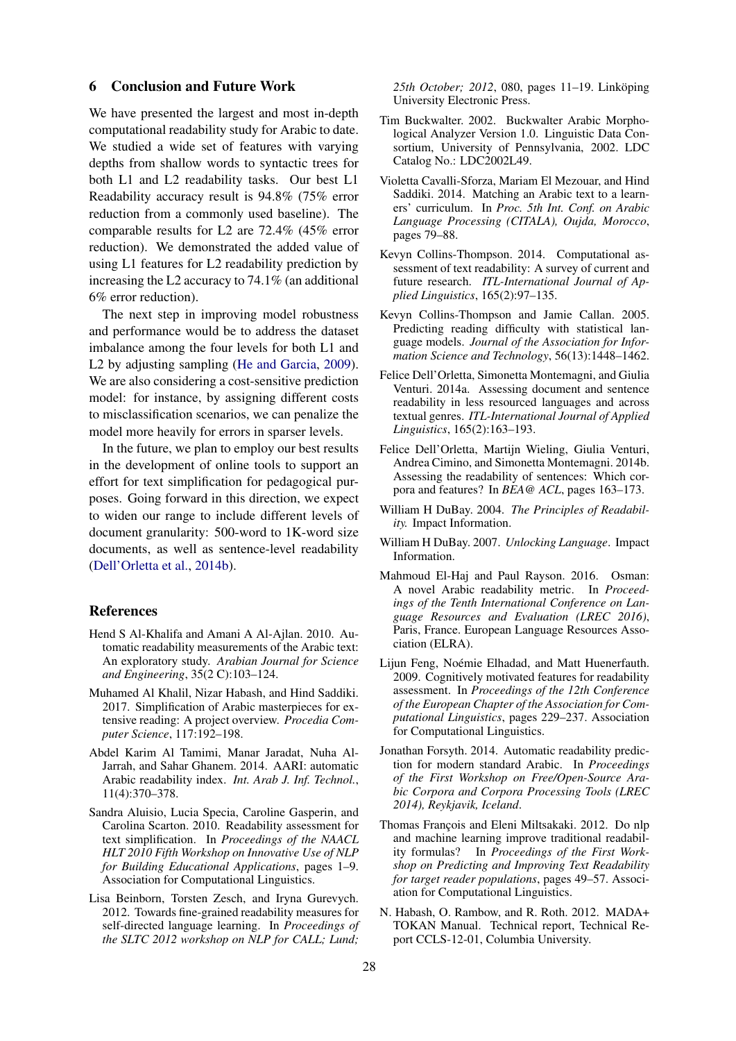#### 6 Conclusion and Future Work

We have presented the largest and most in-depth computational readability study for Arabic to date. We studied a wide set of features with varying depths from shallow words to syntactic trees for both L1 and L2 readability tasks. Our best L1 Readability accuracy result is 94.8% (75% error reduction from a commonly used baseline). The comparable results for L2 are 72.4% (45% error reduction). We demonstrated the added value of using L1 features for L2 readability prediction by increasing the L2 accuracy to 74.1% (an additional 6% error reduction).

The next step in improving model robustness and performance would be to address the dataset imbalance among the four levels for both L1 and L2 by adjusting sampling [\(He and Garcia,](#page-9-14) [2009\)](#page-9-14). We are also considering a cost-sensitive prediction model: for instance, by assigning different costs to misclassification scenarios, we can penalize the model more heavily for errors in sparser levels.

In the future, we plan to employ our best results in the development of online tools to support an effort for text simplification for pedagogical purposes. Going forward in this direction, we expect to widen our range to include different levels of document granularity: 500-word to 1K-word size documents, as well as sentence-level readability [\(Dell'Orletta et al.,](#page-8-17) [2014b\)](#page-8-17).

#### References

- <span id="page-8-2"></span>Hend S Al-Khalifa and Amani A Al-Ajlan. 2010. Automatic readability measurements of the Arabic text: An exploratory study. *Arabian Journal for Science and Engineering*, 35(2 C):103–124.
- <span id="page-8-8"></span>Muhamed Al Khalil, Nizar Habash, and Hind Saddiki. 2017. Simplification of Arabic masterpieces for extensive reading: A project overview. *Procedia Computer Science*, 117:192–198.
- <span id="page-8-3"></span>Abdel Karim Al Tamimi, Manar Jaradat, Nuha Al-Jarrah, and Sahar Ghanem. 2014. AARI: automatic Arabic readability index. *Int. Arab J. Inf. Technol.*, 11(4):370–378.
- <span id="page-8-7"></span>Sandra Aluisio, Lucia Specia, Caroline Gasperin, and Carolina Scarton. 2010. Readability assessment for text simplification. In *Proceedings of the NAACL HLT 2010 Fifth Workshop on Innovative Use of NLP for Building Educational Applications*, pages 1–9. Association for Computational Linguistics.
- <span id="page-8-10"></span>Lisa Beinborn, Torsten Zesch, and Iryna Gurevych. 2012. Towards fine-grained readability measures for self-directed language learning. In *Proceedings of the SLTC 2012 workshop on NLP for CALL; Lund;*

*25th October; 2012*, 080, pages 11–19. Linköping University Electronic Press.

- <span id="page-8-16"></span>Tim Buckwalter. 2002. Buckwalter Arabic Morphological Analyzer Version 1.0. Linguistic Data Consortium, University of Pennsylvania, 2002. LDC Catalog No.: LDC2002L49.
- <span id="page-8-4"></span>Violetta Cavalli-Sforza, Mariam El Mezouar, and Hind Saddiki. 2014. Matching an Arabic text to a learners' curriculum. In *Proc. 5th Int. Conf. on Arabic Language Processing (CITALA), Oujda, Morocco*, pages 79–88.
- <span id="page-8-1"></span>Kevyn Collins-Thompson. 2014. Computational assessment of text readability: A survey of current and future research. *ITL-International Journal of Applied Linguistics*, 165(2):97–135.
- <span id="page-8-11"></span>Kevyn Collins-Thompson and Jamie Callan. 2005. Predicting reading difficulty with statistical language models. *Journal of the Association for Information Science and Technology*, 56(13):1448–1462.
- <span id="page-8-0"></span>Felice Dell'Orletta, Simonetta Montemagni, and Giulia Venturi. 2014a. Assessing document and sentence readability in less resourced languages and across textual genres. *ITL-International Journal of Applied Linguistics*, 165(2):163–193.
- <span id="page-8-17"></span>Felice Dell'Orletta, Martijn Wieling, Giulia Venturi, Andrea Cimino, and Simonetta Montemagni. 2014b. Assessing the readability of sentences: Which corpora and features? In *BEA@ ACL*, pages 163–173.
- <span id="page-8-13"></span>William H DuBay. 2004. *The Principles of Readability.* Impact Information.
- <span id="page-8-14"></span>William H DuBay. 2007. *Unlocking Language*. Impact Information.
- <span id="page-8-6"></span>Mahmoud El-Haj and Paul Rayson. 2016. Osman: A novel Arabic readability metric. In *Proceedings of the Tenth International Conference on Language Resources and Evaluation (LREC 2016)*, Paris, France. European Language Resources Association (ELRA).
- <span id="page-8-9"></span>Lijun Feng, Noémie Elhadad, and Matt Huenerfauth. 2009. Cognitively motivated features for readability assessment. In *Proceedings of the 12th Conference of the European Chapter of the Association for Computational Linguistics*, pages 229–237. Association for Computational Linguistics.
- <span id="page-8-5"></span>Jonathan Forsyth. 2014. Automatic readability prediction for modern standard Arabic. In *Proceedings of the First Workshop on Free/Open-Source Arabic Corpora and Corpora Processing Tools (LREC 2014), Reykjavik, Iceland*.
- <span id="page-8-12"></span>Thomas François and Eleni Miltsakaki. 2012. Do nlp and machine learning improve traditional readability formulas? In *Proceedings of the First Workshop on Predicting and Improving Text Readability for target reader populations*, pages 49–57. Association for Computational Linguistics.
- <span id="page-8-15"></span>N. Habash, O. Rambow, and R. Roth. 2012. MADA+ TOKAN Manual. Technical report, Technical Report CCLS-12-01, Columbia University.